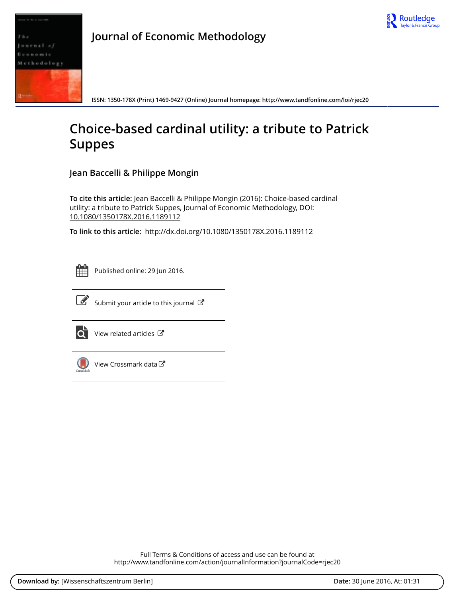



**Journal of Economic Methodology**

**ISSN: 1350-178X (Print) 1469-9427 (Online) Journal homepage: <http://www.tandfonline.com/loi/rjec20>**

# **Choice-based cardinal utility: a tribute to Patrick Suppes**

**Jean Baccelli & Philippe Mongin**

**To cite this article:** Jean Baccelli & Philippe Mongin (2016): Choice-based cardinal utility: a tribute to Patrick Suppes, Journal of Economic Methodology, DOI: [10.1080/1350178X.2016.1189112](http://www.tandfonline.com/action/showCitFormats?doi=10.1080/1350178X.2016.1189112)

**To link to this article:** <http://dx.doi.org/10.1080/1350178X.2016.1189112>

| - | _ | <b>Service Service</b> |
|---|---|------------------------|
|   |   |                        |
|   |   |                        |
|   |   |                        |

Published online: 29 Jun 2016.



 $\overline{\mathscr{L}}$  [Submit your article to this journal](http://www.tandfonline.com/action/authorSubmission?journalCode=rjec20&page=instructions)  $\mathbb{Z}$ 



 $\overrightarrow{Q}$  [View related articles](http://www.tandfonline.com/doi/mlt/10.1080/1350178X.2016.1189112)  $\overrightarrow{C}$ 



[View Crossmark data](http://crossmark.crossref.org/dialog/?doi=10.1080/1350178X.2016.1189112&domain=pdf&date_stamp=2016-06-29) $\mathbb{Z}$ 

Full Terms & Conditions of access and use can be found at <http://www.tandfonline.com/action/journalInformation?journalCode=rjec20>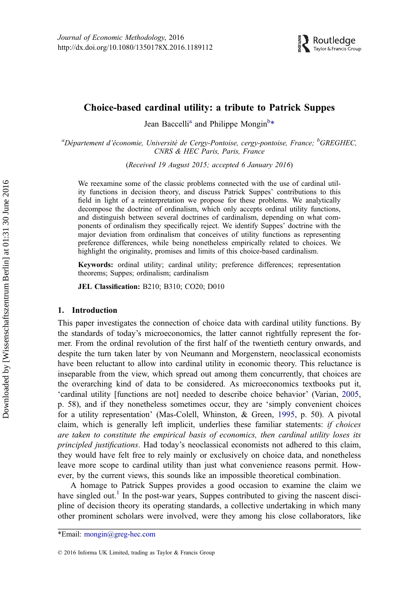

## <span id="page-1-0"></span>Choice-based cardinal utility: a tribute to Patrick Suppes

Jean Baccelli<sup>a</sup> and Philippe Mongin<sup>b\*</sup>

<sup>a</sup>Département d'économie, Université de Cergy-Pontoise, cergy-pontoise, France; <sup>b</sup>GREGHEC, CNRS & HEC Paris, Paris, France

(Received 19 August 2015; accepted 6 January 2016)

We reexamine some of the classic problems connected with the use of cardinal utility functions in decision theory, and discuss Patrick Suppes' contributions to this field in light of a reinterpretation we propose for these problems. We analytically decompose the doctrine of ordinalism, which only accepts ordinal utility functions, and distinguish between several doctrines of cardinalism, depending on what components of ordinalism they specifically reject. We identify Suppes' doctrine with the major deviation from ordinalism that conceives of utility functions as representing preference differences, while being nonetheless empirically related to choices. We highlight the originality, promises and limits of this choice-based cardinalism.

Keywords: ordinal utility; cardinal utility; preference differences; representation theorems; Suppes; ordinalism; cardinalism

JEL Classification: B210; B310; CO20; D010

#### 1. Introduction

This paper investigates the connection of choice data with cardinal utility functions. By the standards of today's microeconomics, the latter cannot rightfully represent the former. From the ordinal revolution of the first half of the twentieth century onwards, and despite the turn taken later by von Neumann and Morgenstern, neoclassical economists have been reluctant to allow into cardinal utility in economic theory. This reluctance is inseparable from the view, which spread out among them concurrently, that choices are the overarching kind of data to be considered. As microeconomics textbooks put it, 'cardinal utility [functions are not] needed to describe choice behavior' (Varian, [2005,](#page-21-0) p. 58), and if they nonetheless sometimes occur, they are 'simply convenient choices for a utility representation' (Mas-Colell, Whinston, & Green, [1995](#page-20-0), p. 50). A pivotal claim, which is generally left implicit, underlies these familiar statements: if choices are taken to constitute the empirical basis of economics, then cardinal utility loses its principled justifications. Had today's neoclassical economists not adhered to this claim, they would have felt free to rely mainly or exclusively on choice data, and nonetheless leave more scope to cardinal utility than just what convenience reasons permit. However, by the current views, this sounds like an impossible theoretical combination.

A homage to Patrick Suppes provides a good occasion to examine the claim we have singled out.<sup>[1](#page-18-0)</sup> In the post-war years, Suppes contributed to giving the nascent discipline of decision theory its operating standards, a collective undertaking in which many other prominent scholars were involved, were they among his close collaborators, like

<sup>\*</sup>Email: [mongin@greg-hec.com](mailto:mongin@greg-hec.com)

<sup>© 2016</sup> Informa UK Limited, trading as Taylor & Francis Group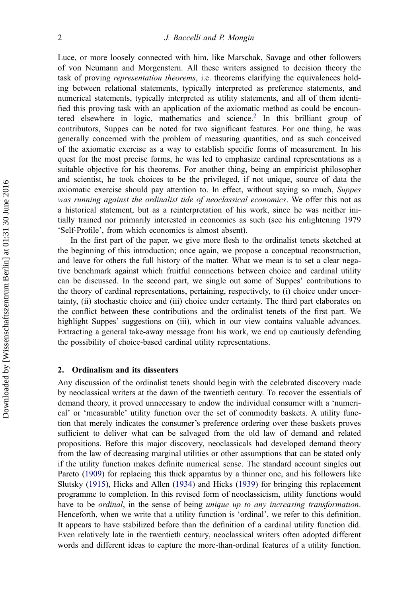<span id="page-2-0"></span>Luce, or more loosely connected with him, like Marschak, Savage and other followers of von Neumann and Morgenstern. All these writers assigned to decision theory the task of proving representation theorems, i.e. theorems clarifying the equivalences holding between relational statements, typically interpreted as preference statements, and numerical statements, typically interpreted as utility statements, and all of them identified this proving task with an application of the axiomatic method as could be encoun-tered elsewhere in logic, mathematics and science.<sup>[2](#page-18-0)</sup> In this brilliant group of contributors, Suppes can be noted for two significant features. For one thing, he was generally concerned with the problem of measuring quantities, and as such conceived of the axiomatic exercise as a way to establish specific forms of measurement. In his quest for the most precise forms, he was led to emphasize cardinal representations as a suitable objective for his theorems. For another thing, being an empiricist philosopher and scientist, he took choices to be the privileged, if not unique, source of data the axiomatic exercise should pay attention to. In effect, without saying so much, Suppes was running against the ordinalist tide of neoclassical economics. We offer this not as a historical statement, but as a reinterpretation of his work, since he was neither initially trained nor primarily interested in economics as such (see his enlightening 1979 'Self-Profile', from which economics is almost absent).

In the first part of the paper, we give more flesh to the ordinalist tenets sketched at the beginning of this introduction; once again, we propose a conceptual reconstruction, and leave for others the full history of the matter. What we mean is to set a clear negative benchmark against which fruitful connections between choice and cardinal utility can be discussed. In the second part, we single out some of Suppes' contributions to the theory of cardinal representations, pertaining, respectively, to (i) choice under uncertainty, (ii) stochastic choice and (iii) choice under certainty. The third part elaborates on the conflict between these contributions and the ordinalist tenets of the first part. We highlight Suppes' suggestions on (iii), which in our view contains valuable advances. Extracting a general take-away message from his work, we end up cautiously defending the possibility of choice-based cardinal utility representations.

#### 2. Ordinalism and its dissenters

Any discussion of the ordinalist tenets should begin with the celebrated discovery made by neoclassical writers at the dawn of the twentieth century. To recover the essentials of demand theory, it proved unnecessary to endow the individual consumer with a 'numerical' or 'measurable' utility function over the set of commodity baskets. A utility function that merely indicates the consumer's preference ordering over these baskets proves sufficient to deliver what can be salvaged from the old law of demand and related propositions. Before this major discovery, neoclassicals had developed demand theory from the law of decreasing marginal utilities or other assumptions that can be stated only if the utility function makes definite numerical sense. The standard account singles out Pareto ([1909\)](#page-21-0) for replacing this thick apparatus by a thinner one, and his followers like Slutsky [\(1915](#page-21-0)), Hicks and Allen ([1934\)](#page-20-0) and Hicks ([1939\)](#page-20-0) for bringing this replacement programme to completion. In this revised form of neoclassicism, utility functions would have to be *ordinal*, in the sense of being *unique up to any increasing transformation*. Henceforth, when we write that a utility function is 'ordinal', we refer to this definition. It appears to have stabilized before than the definition of a cardinal utility function did. Even relatively late in the twentieth century, neoclassical writers often adopted different words and different ideas to capture the more-than-ordinal features of a utility function.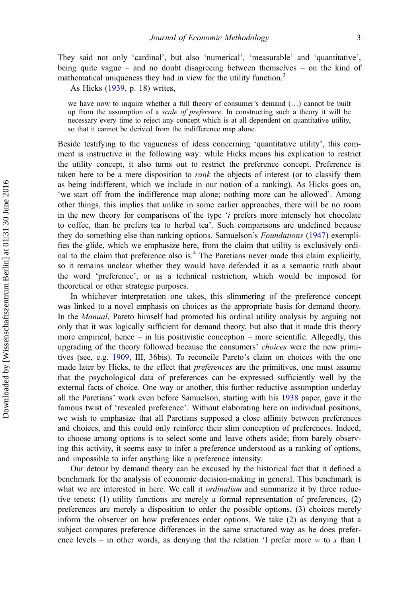<span id="page-3-0"></span>They said not only 'cardinal', but also 'numerical', 'measurable' and 'quantitative', being quite vague – and no doubt disagreeing between themselves – on the kind of mathematical uniqueness they had in view for the utility function.<sup>[3](#page-18-0)</sup>

As Hicks ([1939,](#page-20-0) p. 18) writes,

we have now to inquire whether a full theory of consumer's demand (…) cannot be built up from the assumption of a *scale of preference*. In constructing such a theory it will be necessary every time to reject any concept which is at all dependent on quantitative utility, so that it cannot be derived from the indifference map alone.

Beside testifying to the vagueness of ideas concerning 'quantitative utility', this comment is instructive in the following way: while Hicks means his explication to restrict the utility concept, it also turns out to restrict the preference concept. Preference is taken here to be a mere disposition to *rank* the objects of interest (or to classify them as being indifferent, which we include in our notion of a ranking). As Hicks goes on, 'we start off from the indifference map alone; nothing more can be allowed'. Among other things, this implies that unlike in some earlier approaches, there will be no room in the new theory for comparisons of the type 'i prefers more intensely hot chocolate to coffee, than he prefers tea to herbal tea'. Such comparisons are undefined because they do something else than ranking options. Samuelson's Foundations ([1947\)](#page-21-0) exemplifies the glide, which we emphasize here, from the claim that utility is exclusively ordi-nal to the claim that preference also is.<sup>[4](#page-18-0)</sup> The Paretians never made this claim explicitly, so it remains unclear whether they would have defended it as a semantic truth about the word 'preference', or as a technical restriction, which would be imposed for theoretical or other strategic purposes.

In whichever interpretation one takes, this slimmering of the preference concept was linked to a novel emphasis on choices as the appropriate basis for demand theory. In the Manual, Pareto himself had promoted his ordinal utility analysis by arguing not only that it was logically sufficient for demand theory, but also that it made this theory more empirical, hence  $-$  in his positivistic conception  $-$  more scientific. Allegedly, this upgrading of the theory followed because the consumers' choices were the new primitives (see, e.g. [1909](#page-21-0), III, 36bis). To reconcile Pareto's claim on choices with the one made later by Hicks, to the effect that *preferences* are the primitives, one must assume that the psychological data of preferences can be expressed sufficiently well by the external facts of choice. One way or another, this further reductive assumption underlay all the Paretians' work even before Samuelson, starting with his [1938](#page-21-0) paper, gave it the famous twist of 'revealed preference'. Without elaborating here on individual positions, we wish to emphasize that all Paretians supposed a close affinity between preferences and choices, and this could only reinforce their slim conception of preferences. Indeed, to choose among options is to select some and leave others aside; from barely observing this activity, it seems easy to infer a preference understood as a ranking of options, and impossible to infer anything like a preference intensity.

Our detour by demand theory can be excused by the historical fact that it defined a benchmark for the analysis of economic decision-making in general. This benchmark is what we are interested in here. We call it *ordinalism* and summarize it by three reductive tenets: (1) utility functions are merely a formal representation of preferences, (2) preferences are merely a disposition to order the possible options, (3) choices merely inform the observer on how preferences order options. We take (2) as denying that a subject compares preference differences in the same structured way as he does preference levels – in other words, as denying that the relation 'I prefer more  $w$  to  $x$  than I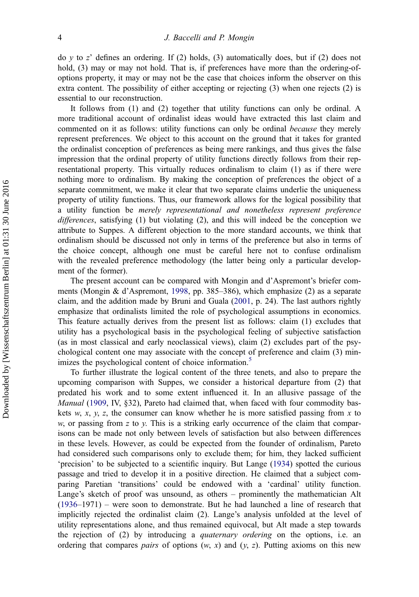<span id="page-4-0"></span>do y to z' defines an ordering. If (2) holds, (3) automatically does, but if (2) does not hold,  $(3)$  may or may not hold. That is, if preferences have more than the ordering-ofoptions property, it may or may not be the case that choices inform the observer on this extra content. The possibility of either accepting or rejecting (3) when one rejects (2) is essential to our reconstruction.

It follows from (1) and (2) together that utility functions can only be ordinal. A more traditional account of ordinalist ideas would have extracted this last claim and commented on it as follows: utility functions can only be ordinal because they merely represent preferences. We object to this account on the ground that it takes for granted the ordinalist conception of preferences as being mere rankings, and thus gives the false impression that the ordinal property of utility functions directly follows from their representational property. This virtually reduces ordinalism to claim (1) as if there were nothing more to ordinalism. By making the conception of preferences the object of a separate commitment, we make it clear that two separate claims underlie the uniqueness property of utility functions. Thus, our framework allows for the logical possibility that a utility function be merely representational and nonetheless represent preference  $differences$ , satisfying (1) but violating (2), and this will indeed be the conception we attribute to Suppes. A different objection to the more standard accounts, we think that ordinalism should be discussed not only in terms of the preference but also in terms of the choice concept, although one must be careful here not to confuse ordinalism with the revealed preference methodology (the latter being only a particular development of the former).

The present account can be compared with Mongin and d'Aspremont's briefer comments (Mongin & d'Aspremont, [1998,](#page-20-0) pp. 385–386), which emphasize (2) as a separate claim, and the addition made by Bruni and Guala ([2001,](#page-20-0) p. 24). The last authors rightly emphasize that ordinalists limited the role of psychological assumptions in economics. This feature actually derives from the present list as follows: claim (1) excludes that utility has a psychological basis in the psychological feeling of subjective satisfaction (as in most classical and early neoclassical views), claim (2) excludes part of the psychological content one may associate with the concept of preference and claim (3) min-imizes the psychological content of choice information.<sup>[5](#page-18-0)</sup>

To further illustrate the logical content of the three tenets, and also to prepare the upcoming comparison with Suppes, we consider a historical departure from (2) that predated his work and to some extent influenced it. In an allusive passage of the Manual [\(1909](#page-21-0), IV, §32), Pareto had claimed that, when faced with four commodity baskets w, x, y, z, the consumer can know whether he is more satisfied passing from x to  $w$ , or passing from z to y. This is a striking early occurrence of the claim that comparisons can be made not only between levels of satisfaction but also between differences in these levels. However, as could be expected from the founder of ordinalism, Pareto had considered such comparisons only to exclude them; for him, they lacked sufficient 'precision' to be subjected to a scientific inquiry. But Lange [\(1934](#page-20-0)) spotted the curious passage and tried to develop it in a positive direction. He claimed that a subject comparing Paretian 'transitions' could be endowed with a 'cardinal' utility function. Lange's sketch of proof was unsound, as others – prominently the mathematician Alt [\(1936](#page-19-0)–1971) – were soon to demonstrate. But he had launched a line of research that implicitly rejected the ordinalist claim (2). Lange's analysis unfolded at the level of utility representations alone, and thus remained equivocal, but Alt made a step towards the rejection of (2) by introducing a *quaternary ordering* on the options, i.e. an ordering that compares *pairs* of options  $(w, x)$  and  $(y, z)$ . Putting axioms on this new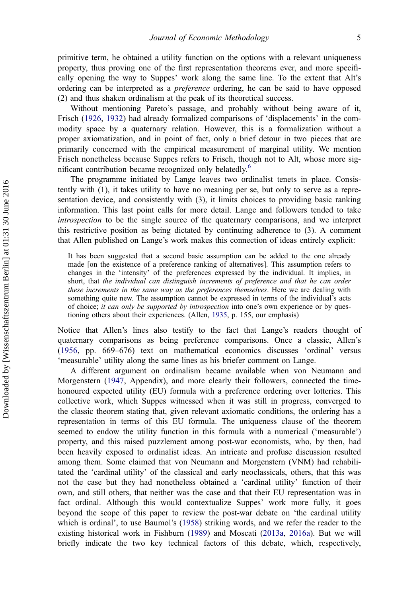<span id="page-5-0"></span>primitive term, he obtained a utility function on the options with a relevant uniqueness property, thus proving one of the first representation theorems ever, and more specifically opening the way to Suppes' work along the same line. To the extent that Alt's ordering can be interpreted as a preference ordering, he can be said to have opposed (2) and thus shaken ordinalism at the peak of its theoretical success.

Without mentioning Pareto's passage, and probably without being aware of it, Frisch [\(1926](#page-20-0), [1932](#page-20-0)) had already formalized comparisons of 'displacements' in the commodity space by a quaternary relation. However, this is a formalization without a proper axiomatization, and in point of fact, only a brief detour in two pieces that are primarily concerned with the empirical measurement of marginal utility. We mention Frisch nonetheless because Suppes refers to Frisch, though not to Alt, whose more sig-nificant contribution became recognized only belatedly.<sup>[6](#page-18-0)</sup>

The programme initiated by Lange leaves two ordinalist tenets in place. Consistently with (1), it takes utility to have no meaning per se, but only to serve as a representation device, and consistently with (3), it limits choices to providing basic ranking information. This last point calls for more detail. Lange and followers tended to take introspection to be the single source of the quaternary comparisons, and we interpret this restrictive position as being dictated by continuing adherence to (3). A comment that Allen published on Lange's work makes this connection of ideas entirely explicit:

It has been suggested that a second basic assumption can be added to the one already made [on the existence of a preference ranking of alternatives]. This assumption refers to changes in the 'intensity' of the preferences expressed by the individual. It implies, in short, that the individual can distinguish increments of preference and that he can order these increments in the same way as the preferences themselves. Here we are dealing with something quite new. The assumption cannot be expressed in terms of the individual's acts of choice; it can only be supported by introspection into one's own experience or by questioning others about their experiences. (Allen, [1935,](#page-19-0) p. 155, our emphasis)

Notice that Allen's lines also testify to the fact that Lange's readers thought of quaternary comparisons as being preference comparisons. Once a classic, Allen's [\(1956](#page-19-0), pp. 669–676) text on mathematical economics discusses 'ordinal' versus 'measurable' utility along the same lines as his briefer comment on Lange.

A different argument on ordinalism became available when von Neumann and Morgenstern [\(1947](#page-21-0), Appendix), and more clearly their followers, connected the timehonoured expected utility (EU) formula with a preference ordering over lotteries. This collective work, which Suppes witnessed when it was still in progress, converged to the classic theorem stating that, given relevant axiomatic conditions, the ordering has a representation in terms of this EU formula. The uniqueness clause of the theorem seemed to endow the utility function in this formula with a numerical ('measurable') property, and this raised puzzlement among post-war economists, who, by then, had been heavily exposed to ordinalist ideas. An intricate and profuse discussion resulted among them. Some claimed that von Neumann and Morgenstern (VNM) had rehabilitated the 'cardinal utility' of the classical and early neoclassicals, others, that this was not the case but they had nonetheless obtained a 'cardinal utility' function of their own, and still others, that neither was the case and that their EU representation was in fact ordinal. Although this would contextualize Suppes' work more fully, it goes beyond the scope of this paper to review the post-war debate on 'the cardinal utility which is ordinal', to use Baumol's ([1958](#page-19-0)) striking words, and we refer the reader to the existing historical work in Fishburn [\(1989](#page-20-0)) and Moscati ([2013a](#page-20-0), [2016a](#page-21-0)). But we will briefly indicate the two key technical factors of this debate, which, respectively,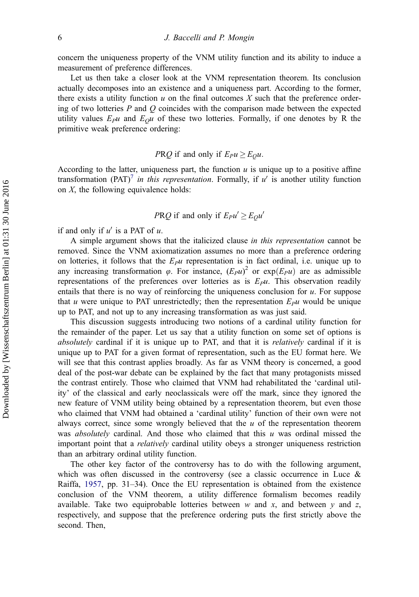<span id="page-6-0"></span>concern the uniqueness property of the VNM utility function and its ability to induce a measurement of preference differences.

Let us then take a closer look at the VNM representation theorem. Its conclusion actually decomposes into an existence and a uniqueness part. According to the former, there exists a utility function  $u$  on the final outcomes  $X$  such that the preference ordering of two lotteries  $P$  and  $Q$  coincides with the comparison made between the expected utility values  $E_{\rho}u$  and  $E_{\rho}u$  of these two lotteries. Formally, if one denotes by R the primitive weak preference ordering:

#### *PRQ* if and only if  $E_P u > E_Q u$ .

According to the latter, uniqueness part, the function  $u$  is unique up to a positive affine transformation (PAT)<sup>[7](#page-18-0)</sup> in this representation. Formally, if  $u'$  is another utility function on X, the following equivalence holds:

# *PRQ* if and only if  $E_P u' \ge E_Q u'$

if and only if  $u'$  is a PAT of u.

A simple argument shows that the italicized clause in this representation cannot be removed. Since the VNM axiomatization assumes no more than a preference ordering on lotteries, it follows that the  $E_{\rho}$ u representation is in fact ordinal, i.e. unique up to any increasing transformation  $\varphi$ . For instance,  $(E_Pu)^2$  or  $exp(E_Pu)$  are as admissible<br>representations of the preferences over lotteries as is  $F_H$ . This observation readily representations of the preferences over lotteries as is  $E_{\rho}u$ . This observation readily entails that there is no way of reinforcing the uniqueness conclusion for  $u$ . For suppose that u were unique to PAT unrestrictedly; then the representation  $E_{\rho}u$  would be unique up to PAT, and not up to any increasing transformation as was just said.

This discussion suggests introducing two notions of a cardinal utility function for the remainder of the paper. Let us say that a utility function on some set of options is absolutely cardinal if it is unique up to PAT, and that it is relatively cardinal if it is unique up to PAT for a given format of representation, such as the EU format here. We will see that this contrast applies broadly. As far as VNM theory is concerned, a good deal of the post-war debate can be explained by the fact that many protagonists missed the contrast entirely. Those who claimed that VNM had rehabilitated the 'cardinal utility' of the classical and early neoclassicals were off the mark, since they ignored the new feature of VNM utility being obtained by a representation theorem, but even those who claimed that VNM had obtained a 'cardinal utility' function of their own were not always correct, since some wrongly believed that the  $u$  of the representation theorem was *absolutely* cardinal. And those who claimed that this u was ordinal missed the important point that a *relatively* cardinal utility obeys a stronger uniqueness restriction than an arbitrary ordinal utility function.

The other key factor of the controversy has to do with the following argument, which was often discussed in the controversy (see a classic occurrence in Luce & Raiffa, [1957](#page-20-0), pp. 31–34). Once the EU representation is obtained from the existence conclusion of the VNM theorem, a utility difference formalism becomes readily available. Take two equiprobable lotteries between  $w$  and  $x$ , and between  $y$  and  $z$ , respectively, and suppose that the preference ordering puts the first strictly above the second. Then,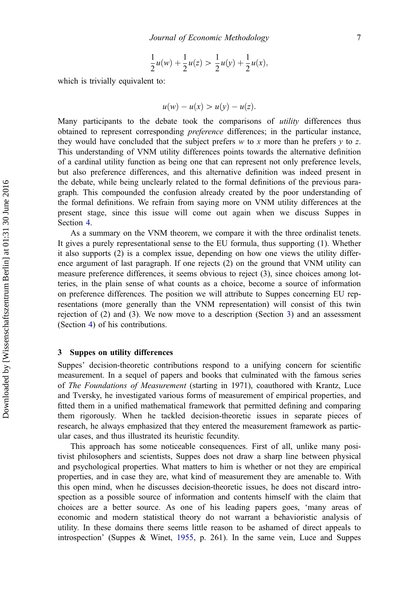$$
\frac{1}{2}u(w) + \frac{1}{2}u(z) > \frac{1}{2}u(y) + \frac{1}{2}u(x),
$$

<span id="page-7-0"></span>which is trivially equivalent to:

$$
u(w) - u(x) > u(y) - u(z).
$$

Many participants to the debate took the comparisons of *utility* differences thus obtained to represent corresponding preference differences; in the particular instance, they would have concluded that the subject prefers  $w$  to  $x$  more than he prefers  $y$  to  $z$ . This understanding of VNM utility differences points towards the alternative definition of a cardinal utility function as being one that can represent not only preference levels, but also preference differences, and this alternative definition was indeed present in the debate, while being unclearly related to the formal definitions of the previous paragraph. This compounded the confusion already created by the poor understanding of the formal definitions. We refrain from saying more on VNM utility differences at the present stage, since this issue will come out again when we discuss Suppes in Section [4](#page-12-0).

As a summary on the VNM theorem, we compare it with the three ordinalist tenets. It gives a purely representational sense to the EU formula, thus supporting (1). Whether it also supports (2) is a complex issue, depending on how one views the utility difference argument of last paragraph. If one rejects (2) on the ground that VNM utility can measure preference differences, it seems obvious to reject (3), since choices among lotteries, in the plain sense of what counts as a choice, become a source of information on preference differences. The position we will attribute to Suppes concerning EU representations (more generally than the VNM representation) will consist of this twin rejection of (2) and (3). We now move to a description (Section 3) and an assessment (Section [4](#page-12-0)) of his contributions.

#### 3 Suppes on utility differences

Suppes' decision-theoretic contributions respond to a unifying concern for scientific measurement. In a sequel of papers and books that culminated with the famous series of The Foundations of Measurement (starting in 1971), coauthored with Krantz, Luce and Tversky, he investigated various forms of measurement of empirical properties, and fitted them in a unified mathematical framework that permitted defining and comparing them rigorously. When he tackled decision-theoretic issues in separate pieces of research, he always emphasized that they entered the measurement framework as particular cases, and thus illustrated its heuristic fecundity.

This approach has some noticeable consequences. First of all, unlike many positivist philosophers and scientists, Suppes does not draw a sharp line between physical and psychological properties. What matters to him is whether or not they are empirical properties, and in case they are, what kind of measurement they are amenable to. With this open mind, when he discusses decision-theoretic issues, he does not discard introspection as a possible source of information and contents himself with the claim that choices are a better source. As one of his leading papers goes, 'many areas of economic and modern statistical theory do not warrant a behavioristic analysis of utility. In these domains there seems little reason to be ashamed of direct appeals to introspection' (Suppes & Winet, [1955](#page-21-0), p. 261). In the same vein, Luce and Suppes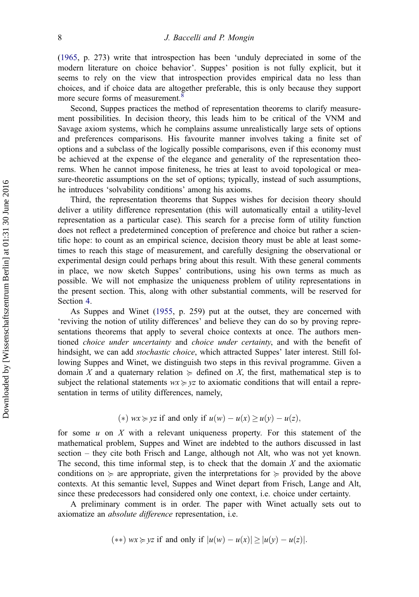[\(1965](#page-20-0), p. 273) write that introspection has been 'unduly depreciated in some of the modern literature on choice behavior'. Suppes' position is not fully explicit, but it seems to rely on the view that introspection provides empirical data no less than choices, and if choice data are altogether preferable, this is only because they support more secure forms of measurement.<sup>[8](#page-18-0)</sup>

Second, Suppes practices the method of representation theorems to clarify measurement possibilities. In decision theory, this leads him to be critical of the VNM and Savage axiom systems, which he complains assume unrealistically large sets of options and preferences comparisons. His favourite manner involves taking a finite set of options and a subclass of the logically possible comparisons, even if this economy must be achieved at the expense of the elegance and generality of the representation theorems. When he cannot impose finiteness, he tries at least to avoid topological or measure-theoretic assumptions on the set of options; typically, instead of such assumptions, he introduces 'solvability conditions' among his axioms.

Third, the representation theorems that Suppes wishes for decision theory should deliver a utility difference representation (this will automatically entail a utility-level representation as a particular case). This search for a precise form of utility function does not reflect a predetermined conception of preference and choice but rather a scientific hope: to count as an empirical science, decision theory must be able at least sometimes to reach this stage of measurement, and carefully designing the observational or experimental design could perhaps bring about this result. With these general comments in place, we now sketch Suppes' contributions, using his own terms as much as possible. We will not emphasize the uniqueness problem of utility representations in the present section. This, along with other substantial comments, will be reserved for Section [4.](#page-12-0)

As Suppes and Winet [\(1955](#page-21-0), p. 259) put at the outset, they are concerned with 'reviving the notion of utility differences' and believe they can do so by proving representations theorems that apply to several choice contexts at once. The authors mentioned choice under uncertainty and choice under certainty, and with the benefit of hindsight, we can add *stochastic choice*, which attracted Suppes' later interest. Still following Suppes and Winet, we distinguish two steps in this revival programme. Given a domain X and a quaternary relation  $\succeq$  defined on X, the first, mathematical step is to subject the relational statements  $wx \geq yz$  to axiomatic conditions that will entail a representation in terms of utility differences, namely,

(\*) 
$$
wx \ge yz
$$
 if and only if  $u(w) - u(x) \ge u(y) - u(z)$ ,

for some  $u$  on  $X$  with a relevant uniqueness property. For this statement of the mathematical problem, Suppes and Winet are indebted to the authors discussed in last section – they cite both Frisch and Lange, although not Alt, who was not yet known. The second, this time informal step, is to check that the domain  $X$  and the axiomatic conditions on  $\succeq$  are appropriate, given the interpretations for  $\succeq$  provided by the above contexts. At this semantic level, Suppes and Winet depart from Frisch, Lange and Alt, since these predecessors had considered only one context, i.e. choice under certainty.

A preliminary comment is in order. The paper with Winet actually sets out to axiomatize an absolute difference representation, i.e.

(\*\*) 
$$
wx \succcurlyeq yz
$$
 if and only if  $|u(w) - u(x)| \ge |u(y) - u(z)|$ .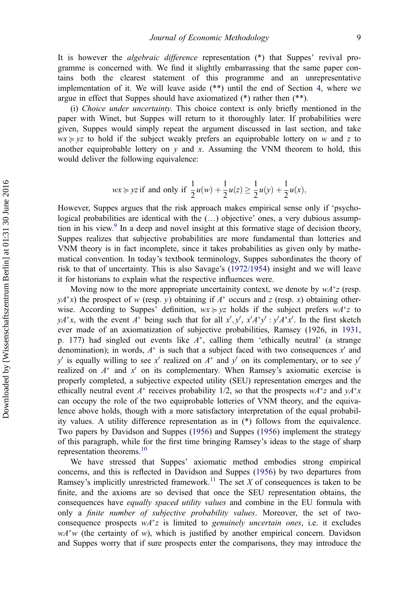<span id="page-9-0"></span>It is however the algebraic difference representation (\*) that Suppes' revival programme is concerned with. We find it slightly embarrassing that the same paper contains both the clearest statement of this programme and an unrepresentative implementation of it. We will leave aside (\*\*) until the end of Section [4,](#page-12-0) where we argue in effect that Suppes should have axiomatized (\*) rather then (\*\*).

(i) Choice under uncertainty. This choice context is only briefly mentioned in the paper with Winet, but Suppes will return to it thoroughly later. If probabilities were given, Suppes would simply repeat the argument discussed in last section, and take  $wx \geq yz$  to hold if the subject weakly prefers an equiprobable lottery on w and z to another equiprobable lottery on  $y$  and x. Assuming the VNM theorem to hold, this would deliver the following equivalence:

$$
wx \ge yz
$$
 if and only if  $\frac{1}{2}u(w) + \frac{1}{2}u(z) \ge \frac{1}{2}u(y) + \frac{1}{2}u(x)$ ,

However, Suppes argues that the risk approach makes empirical sense only if 'psychological probabilities are identical with the (...) objective' ones, a very dubious assump-tion in his view.<sup>[9](#page-18-0)</sup> In a deep and novel insight at this formative stage of decision theory, Suppes realizes that subjective probabilities are more fundamental than lotteries and VNM theory is in fact incomplete, since it takes probabilities as given only by mathematical convention. In today's textbook terminology, Suppes subordinates the theory of risk to that of uncertainty. This is also Savage's ([1972/1954](#page-21-0)) insight and we will leave it for historians to explain what the respective influences were.

Moving now to the more appropriate uncertainity context, we denote by  $wA^*z$  (resp.  $yA^*x$ ) the prospect of w (resp. y) obtaining if  $A^*$  occurs and z (resp. x) obtaining otherwise. According to Suppes' definition,  $wx \geq yz$  holds if the subject prefers  $wA^*z$  to  $yA^*x$ , with the event  $A^*$  being such that for all  $x', y', x'A^*y' : y'A^*x'$ . In the first sketch ever made of an axiomatization of subjective probabilities, Ramsey (1926, in [1931,](#page-21-0) p. 177) had singled out events like  $A^*$ , calling them 'ethically neutral' (a strange denomination); in words,  $A^*$  is such that a subject faced with two consequences  $x'$  and y' is equally willing to see x' realized on  $A^*$  and y' on its complementary, or to see y' realized on  $A^*$  and  $x'$  on its complementary. When Ramsey's axiomatic exercise is properly completed, a subjective expected utility (SEU) representation emerges and the ethically neutral event  $A^*$  receives probability 1/2, so that the prospects  $wA^*z$  and  $yA^*x$ can occupy the role of the two equiprobable lotteries of VNM theory, and the equivalence above holds, though with a more satisfactory interpretation of the equal probability values. A utility difference representation as in (\*) follows from the equivalence. Two papers by Davidson and Suppes [\(1956](#page-20-0)) and Suppes [\(1956](#page-21-0)) implement the strategy of this paragraph, while for the first time bringing Ramsey's ideas to the stage of sharp representation theorems.[10](#page-18-0)

We have stressed that Suppes' axiomatic method embodies strong empirical concerns, and this is reflected in Davidson and Suppes [\(1956](#page-20-0)) by two departures from Ramsey's implicitly unrestricted framework.<sup>[11](#page-18-0)</sup> The set X of consequences is taken to be finite, and the axioms are so devised that once the SEU representation obtains, the consequences have equally spaced utility values and combine in the EU formula with only a finite number of subjective probability values. Moreover, the set of twoconsequence prospects  $wA^*z$  is limited to *genuinely uncertain ones*, i.e. it excludes  $wA^*w$  (the certainty of w), which is justified by another empirical concern. Davidson and Suppes worry that if sure prospects enter the comparisons, they may introduce the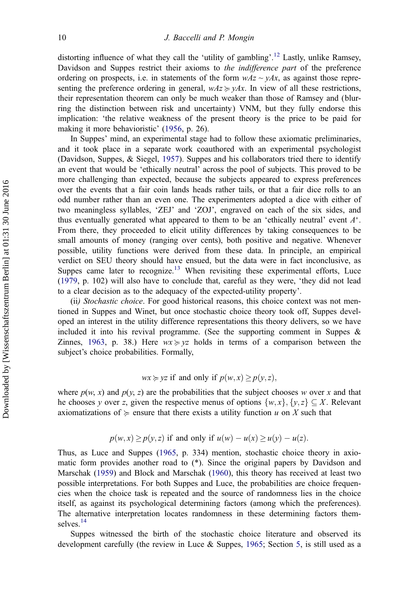<span id="page-10-0"></span>distorting influence of what they call the 'utility of gambling'.<sup>[12](#page-19-0)</sup> Lastly, unlike Ramsey, Davidson and Suppes restrict their axioms to the indifference part of the preference ordering on prospects, i.e. in statements of the form  $wAz \sim \gamma Ax$ , as against those representing the preference ordering in general,  $wAz \succcurlyeq yAx$ . In view of all these restrictions, their representation theorem can only be much weaker than those of Ramsey and (blurring the distinction between risk and uncertainty) VNM, but they fully endorse this implication: 'the relative weakness of the present theory is the price to be paid for making it more behavioristic' [\(1956](#page-20-0), p. 26).

In Suppes' mind, an experimental stage had to follow these axiomatic preliminaries, and it took place in a separate work coauthored with an experimental psychologist (Davidson, Suppes, & Siegel, [1957](#page-20-0)). Suppes and his collaborators tried there to identify an event that would be 'ethically neutral' across the pool of subjects. This proved to be more challenging than expected, because the subjects appeared to express preferences over the events that a fair coin lands heads rather tails, or that a fair dice rolls to an odd number rather than an even one. The experimenters adopted a dice with either of two meaningless syllables, 'ZEJ' and 'ZOJ', engraved on each of the six sides, and thus eventually generated what appeared to them to be an 'ethically neutral' event  $A^*$ . From there, they proceeded to elicit utility differences by taking consequences to be small amounts of money (ranging over cents), both positive and negative. Whenever possible, utility functions were derived from these data. In principle, an empirical verdict on SEU theory should have ensued, but the data were in fact inconclusive, as Suppes came later to recognize.<sup>[13](#page-19-0)</sup> When revisiting these experimental efforts, Luce [\(1979](#page-20-0), p. 102) will also have to conclude that, careful as they were, 'they did not lead to a clear decision as to the adequacy of the expected-utility property'.

(ii) Stochastic choice. For good historical reasons, this choice context was not mentioned in Suppes and Winet, but once stochastic choice theory took off, Suppes developed an interest in the utility difference representations this theory delivers, so we have included it into his revival programme. (See the supporting comment in Suppes & Zinnes, [1963](#page-21-0), p. 38.) Here  $wx \geq yz$  holds in terms of a comparison between the subject's choice probabilities. Formally,

 $wx \geq yz$  if and only if  $p(w, x) \geq p(y, z)$ ,

where  $p(w, x)$  and  $p(y, z)$  are the probabilities that the subject chooses w over x and that he chooses y over z, given the respective menus of options  $\{w, x\}$ ,  $\{y, z\} \subseteq X$ . Relevant axiomatizations of  $\succeq$  ensure that there exists a utility function u on X such that

 $p(w, x) \ge p(y, z)$  if and only if  $u(w) - u(x) \ge u(y) - u(z)$ .

Thus, as Luce and Suppes ([1965](#page-20-0), p. 334) mention, stochastic choice theory in axiomatic form provides another road to (\*). Since the original papers by Davidson and Marschak ([1959\)](#page-20-0) and Block and Marschak [\(1960](#page-19-0)), this theory has received at least two possible interpretations. For both Suppes and Luce, the probabilities are choice frequencies when the choice task is repeated and the source of randomness lies in the choice itself, as against its psychological determining factors (among which the preferences). The alternative interpretation locates randomness in these determining factors them-selves.<sup>[14](#page-19-0)</sup>

Suppes witnessed the birth of the stochastic choice literature and observed its development carefully (the review in Luce & Suppes, [1965;](#page-20-0) Section [5,](#page-18-0) is still used as a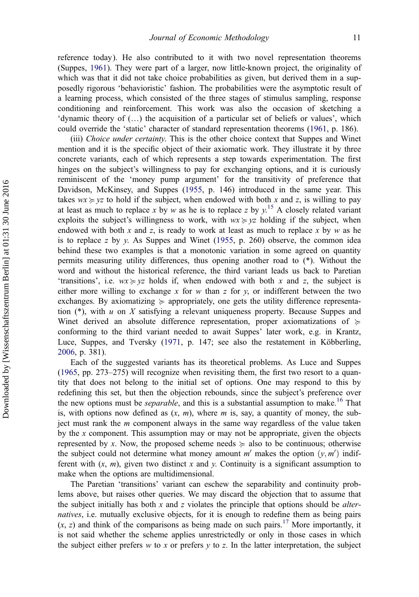<span id="page-11-0"></span>reference today). He also contributed to it with two novel representation theorems (Suppes, [1961](#page-21-0)). They were part of a larger, now little-known project, the originality of which was that it did not take choice probabilities as given, but derived them in a supposedly rigorous 'behavioristic' fashion. The probabilities were the asymptotic result of a learning process, which consisted of the three stages of stimulus sampling, response conditioning and reinforcement. This work was also the occasion of sketching a 'dynamic theory of (…) the acquisition of a particular set of beliefs or values', which could override the 'static' character of standard representation theorems ([1961,](#page-21-0) p. 186).

(iii) Choice under certainty. This is the other choice context that Suppes and Winet mention and it is the specific object of their axiomatic work. They illustrate it by three concrete variants, each of which represents a step towards experimentation. The first hinges on the subject's willingness to pay for exchanging options, and it is curiously reminiscent of the 'money pump argument' for the transitivity of preference that Davidson, McKinsey, and Suppes [\(1955](#page-20-0), p. 146) introduced in the same year. This takes  $wx \geq yz$  to hold if the subject, when endowed with both x and z, is willing to pay at least as much to replace x by w as he is to replace z by  $y$ .<sup>[15](#page-19-0)</sup> A closely related variant exploits the subject's willingness to work, with  $wx \geq yz$  holding if the subject, when endowed with both x and z, is ready to work at least as much to replace x by  $w$  as he is to replace z by y. As Suppes and Winet  $(1955, p. 260)$  $(1955, p. 260)$  $(1955, p. 260)$  observe, the common idea behind these two examples is that a monotonic variation in some agreed on quantity permits measuring utility differences, thus opening another road to (\*). Without the word and without the historical reference, the third variant leads us back to Paretian 'transitions', i.e.  $wx \geq yz$  holds if, when endowed with both x and z, the subject is either more willing to exchange x for w than z for y, or indifferent between the two exchanges. By axiomatizing  $\succeq$  appropriately, one gets the utility difference representation  $(*)$ , with u on X satisfying a relevant uniqueness property. Because Suppes and Winet derived an absolute difference representation, proper axiomatizations of  $\succeq$ conforming to the third variant needed to await Suppes' later work, e.g. in Krantz, Luce, Suppes, and Tversky [\(1971](#page-20-0), p. 147; see also the restatement in Köbberling, [2006,](#page-20-0) p. 381).

Each of the suggested variants has its theoretical problems. As Luce and Suppes [\(1965](#page-20-0), pp. 273–275) will recognize when revisiting them, the first two resort to a quantity that does not belong to the initial set of options. One may respond to this by redefining this set, but then the objection rebounds, since the subject's preference over the new options must be *separable*, and this is a substantial assumption to make.<sup>[16](#page-19-0)</sup> That is, with options now defined as  $(x, m)$ , where m is, say, a quantity of money, the subject must rank the  *component always in the same way regardless of the value taken* by the x component. This assumption may or may not be appropriate, given the objects represented by x. Now, the proposed scheme needs  $\succeq$  also to be continuous; otherwise the subject could not determine what money amount m' makes the option  $(y, m')$  indif-<br>ferent with  $(x, m)$  given two distinct x and y Continuity is a significant assumption to ferent with  $(x, m)$ , given two distinct x and y. Continuity is a significant assumption to make when the options are multidimensional.

The Paretian 'transitions' variant can eschew the separability and continuity problems above, but raises other queries. We may discard the objection that to assume that the subject initially has both x and z violates the principle that options should be *alter*natives, i.e. mutually exclusive objects, for it is enough to redefine them as being pairs  $(x, z)$  and think of the comparisons as being made on such pairs.<sup>[17](#page-19-0)</sup> More importantly, it is not said whether the scheme applies unrestrictedly or only in those cases in which the subject either prefers w to x or prefers y to z. In the latter interpretation, the subject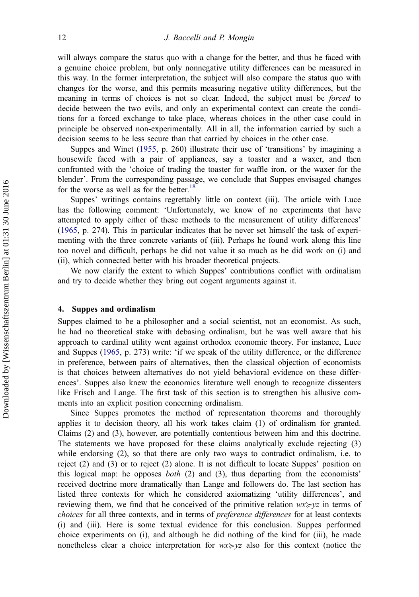<span id="page-12-0"></span>will always compare the status quo with a change for the better, and thus be faced with a genuine choice problem, but only nonnegative utility differences can be measured in this way. In the former interpretation, the subject will also compare the status quo with changes for the worse, and this permits measuring negative utility differences, but the meaning in terms of choices is not so clear. Indeed, the subject must be forced to decide between the two evils, and only an experimental context can create the conditions for a forced exchange to take place, whereas choices in the other case could in principle be observed non-experimentally. All in all, the information carried by such a decision seems to be less secure than that carried by choices in the other case.

Suppes and Winet [\(1955](#page-21-0), p. 260) illustrate their use of 'transitions' by imagining a housewife faced with a pair of appliances, say a toaster and a waxer, and then confronted with the 'choice of trading the toaster for waffle iron, or the waxer for the blender'. From the corresponding passage, we conclude that Suppes envisaged changes for the worse as well as for the better.<sup>[18](#page-19-0)</sup>

Suppes' writings contains regrettably little on context (iii). The article with Luce has the following comment: 'Unfortunately, we know of no experiments that have attempted to apply either of these methods to the measurement of utility differences' [\(1965](#page-20-0), p. 274). This in particular indicates that he never set himself the task of experimenting with the three concrete variants of (iii). Perhaps he found work along this line too novel and difficult, perhaps he did not value it so much as he did work on (i) and (ii), which connected better with his broader theoretical projects.

We now clarify the extent to which Suppes' contributions conflict with ordinalism and try to decide whether they bring out cogent arguments against it.

#### 4. Suppes and ordinalism

Suppes claimed to be a philosopher and a social scientist, not an economist. As such, he had no theoretical stake with debasing ordinalism, but he was well aware that his approach to cardinal utility went against orthodox economic theory. For instance, Luce and Suppes [\(1965,](#page-20-0) p. 273) write: 'if we speak of the utility difference, or the difference in preference, between pairs of alternatives, then the classical objection of economists is that choices between alternatives do not yield behavioral evidence on these differences'. Suppes also knew the economics literature well enough to recognize dissenters like Frisch and Lange. The first task of this section is to strengthen his allusive comments into an explicit position concerning ordinalism.

Since Suppes promotes the method of representation theorems and thoroughly applies it to decision theory, all his work takes claim (1) of ordinalism for granted. Claims (2) and (3), however, are potentially contentious between him and this doctrine. The statements we have proposed for these claims analytically exclude rejecting (3) while endorsing  $(2)$ , so that there are only two ways to contradict ordinalism, i.e. to reject (2) and (3) or to reject (2) alone. It is not difficult to locate Suppes' position on this logical map: he opposes *both*  $(2)$  and  $(3)$ , thus departing from the economists' received doctrine more dramatically than Lange and followers do. The last section has listed three contexts for which he considered axiomatizing 'utility differences', and reviewing them, we find that he conceived of the primitive relation  $wx \geq yz$  in terms of choices for all three contexts, and in terms of preference differences for at least contexts (i) and (iii). Here is some textual evidence for this conclusion. Suppes performed choice experiments on (i), and although he did nothing of the kind for (iii), he made nonetheless clear a choice interpretation for  $wx \gtrsim yz$  also for this context (notice the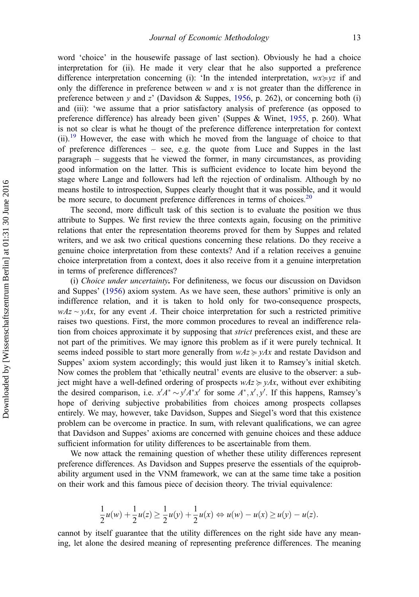word 'choice' in the housewife passage of last section). Obviously he had a choice interpretation for (ii). He made it very clear that he also supported a preference difference interpretation concerning (i): 'In the intended interpretation,  $wx \geq yz$  if and only the difference in preference between  $w$  and  $x$  is not greater than the difference in preference between y and z' (Davidson & Suppes, [1956](#page-20-0), p. 262), or concerning both (i) and (iii): 'we assume that a prior satisfactory analysis of preference (as opposed to preference difference) has already been given' (Suppes & Winet, [1955,](#page-21-0) p. 260). What is not so clear is what he thougt of the preference difference interpretation for context  $(ii).<sup>19</sup>$  $(ii).<sup>19</sup>$  $(ii).<sup>19</sup>$  However, the ease with which he moved from the language of choice to that of preference differences – see, e.g. the quote from Luce and Suppes in the last paragraph – suggests that he viewed the former, in many circumstances, as providing good information on the latter. This is sufficient evidence to locate him beyond the stage where Lange and followers had left the rejection of ordinalism. Although by no means hostile to introspection, Suppes clearly thought that it was possible, and it would be more secure, to document preference differences in terms of choices.<sup>[20](#page-19-0)</sup>

The second, more difficult task of this section is to evaluate the position we thus attribute to Suppes. We first review the three contexts again, focusing on the primitive relations that enter the representation theorems proved for them by Suppes and related writers, and we ask two critical questions concerning these relations. Do they receive a genuine choice interpretation from these contexts? And if a relation receives a genuine choice interpretation from a context, does it also receive from it a genuine interpretation in terms of preference differences?

(i) Choice under uncertainty. For definiteness, we focus our discussion on Davidson and Suppes' [\(1956](#page-20-0)) axiom system. As we have seen, these authors' primitive is only an indifference relation, and it is taken to hold only for two-consequence prospects,  $wAz \sim yAx$ , for any event A. Their choice interpretation for such a restricted primitive raises two questions. First, the more common procedures to reveal an indifference relation from choices approximate it by supposing that *strict* preferences exist, and these are not part of the primitives. We may ignore this problem as if it were purely technical. It seems indeed possible to start more generally from  $wAz \geq yAx$  and restate Davidson and Suppes' axiom system accordingly; this would just liken it to Ramsey's initial sketch. Now comes the problem that 'ethically neutral' events are elusive to the observer: a subject might have a well-defined ordering of prospects  $wAz \geq yAx$ , without ever exhibiting the desired comparison, i.e.  $x'A^* \sim y'A^*x'$  for some  $A^*, x', y'$ . If this happens, Ramsey's<br>hone of deriving subjective probabilities from choices among prospects collapses hope of deriving subjective probabilities from choices among prospects collapses entirely. We may, however, take Davidson, Suppes and Siegel's word that this existence problem can be overcome in practice. In sum, with relevant qualifications, we can agree that Davidson and Suppes' axioms are concerned with genuine choices and these adduce sufficient information for utility differences to be ascertainable from them.

We now attack the remaining question of whether these utility differences represent preference differences. As Davidson and Suppes preserve the essentials of the equiprobability argument used in the VNM framework, we can at the same time take a position on their work and this famous piece of decision theory. The trivial equivalence:

$$
\frac{1}{2}u(w) + \frac{1}{2}u(z) \ge \frac{1}{2}u(y) + \frac{1}{2}u(x) \Leftrightarrow u(w) - u(x) \ge u(y) - u(z).
$$

cannot by itself guarantee that the utility differences on the right side have any meaning, let alone the desired meaning of representing preference differences. The meaning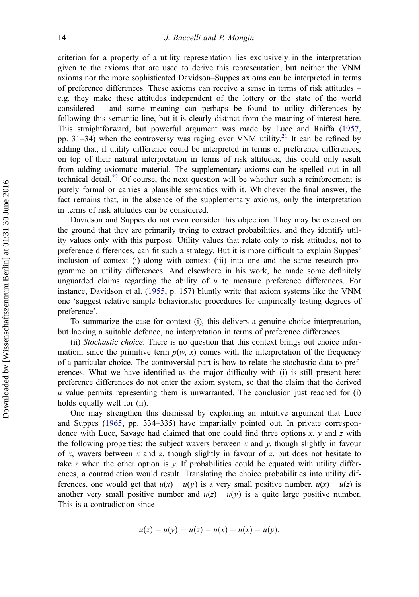criterion for a property of a utility representation lies exclusively in the interpretation given to the axioms that are used to derive this representation, but neither the VNM axioms nor the more sophisticated Davidson–Suppes axioms can be interpreted in terms of preference differences. These axioms can receive a sense in terms of risk attitudes – e.g. they make these attitudes independent of the lottery or the state of the world considered – and some meaning can perhaps be found to utility differences by following this semantic line, but it is clearly distinct from the meaning of interest here. This straightforward, but powerful argument was made by Luce and Raiffa ([1957,](#page-20-0) pp. 31–34) when the controversy was raging over VNM utility.<sup>[21](#page-19-0)</sup> It can be refined by adding that, if utility difference could be interpreted in terms of preference differences, on top of their natural interpretation in terms of risk attitudes, this could only result from adding axiomatic material. The supplementary axioms can be spelled out in all technical detail.[22](#page-19-0) Of course, the next question will be whether such a reinforcement is purely formal or carries a plausible semantics with it. Whichever the final answer, the fact remains that, in the absence of the supplementary axioms, only the interpretation in terms of risk attitudes can be considered.

Davidson and Suppes do not even consider this objection. They may be excused on the ground that they are primarily trying to extract probabilities, and they identify utility values only with this purpose. Utility values that relate only to risk attitudes, not to preference differences, can fit such a strategy. But it is more difficult to explain Suppes' inclusion of context (i) along with context (iii) into one and the same research programme on utility differences. And elsewhere in his work, he made some definitely unguarded claims regarding the ability of  $u$  to measure preference differences. For instance, Davidson et al. [\(1955](#page-20-0), p. 157) bluntly write that axiom systems like the VNM one 'suggest relative simple behavioristic procedures for empirically testing degrees of preference'.

To summarize the case for context (i), this delivers a genuine choice interpretation, but lacking a suitable defence, no interpretation in terms of preference differences.

(ii) Stochastic choice. There is no question that this context brings out choice information, since the primitive term  $p(w, x)$  comes with the interpretation of the frequency of a particular choice. The controversial part is how to relate the stochastic data to preferences. What we have identified as the major difficulty with (i) is still present here: preference differences do not enter the axiom system, so that the claim that the derived  $u$  value permits representing them is unwarranted. The conclusion just reached for  $(i)$ holds equally well for (ii).

One may strengthen this dismissal by exploiting an intuitive argument that Luce and Suppes ([1965,](#page-20-0) pp. 334–335) have impartially pointed out. In private correspondence with Luce, Savage had claimed that one could find three options  $x$ ,  $y$  and  $z$  with the following properties: the subject wavers between  $x$  and  $y$ , though slightly in favour of x, wavers between x and z, though slightly in favour of z, but does not hesitate to take  $z$  when the other option is  $y$ . If probabilities could be equated with utility differences, a contradiction would result. Translating the choice probabilities into utility differences, one would get that  $u(x) - u(y)$  is a very small positive number,  $u(x) - u(z)$  is another very small positive number and  $u(z) - u(y)$  is a quite large positive number. This is a contradiction since

$$
u(z) - u(y) = u(z) - u(x) + u(x) - u(y).
$$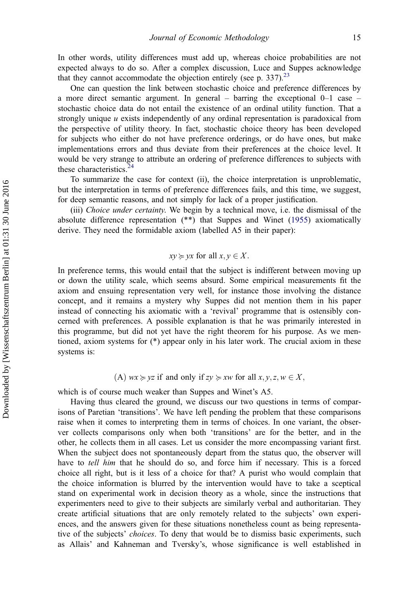In other words, utility differences must add up, whereas choice probabilities are not expected always to do so. After a complex discussion, Luce and Suppes acknowledge that they cannot accommodate the objection entirely (see p.  $337$ ).<sup>[23](#page-19-0)</sup>

One can question the link between stochastic choice and preference differences by a more direct semantic argument. In general – barring the exceptional 0–1 case – stochastic choice data do not entail the existence of an ordinal utility function. That a strongly unique  $u$  exists independently of any ordinal representation is paradoxical from the perspective of utility theory. In fact, stochastic choice theory has been developed for subjects who either do not have preference orderings, or do have ones, but make implementations errors and thus deviate from their preferences at the choice level. It would be very strange to attribute an ordering of preference differences to subjects with these characteristics.<sup>[24](#page-19-0)</sup>

To summarize the case for context (ii), the choice interpretation is unproblematic, but the interpretation in terms of preference differences fails, and this time, we suggest, for deep semantic reasons, and not simply for lack of a proper justification.

(iii) Choice under certainty. We begin by a technical move, i.e. the dismissal of the absolute difference representation (\*\*) that Suppes and Winet ([1955\)](#page-21-0) axiomatically derive. They need the formidable axiom (labelled A5 in their paper):

#### $xy \geq yx$  for all  $x, y \in X$ .

In preference terms, this would entail that the subject is indifferent between moving up or down the utility scale, which seems absurd. Some empirical measurements fit the axiom and ensuing representation very well, for instance those involving the distance concept, and it remains a mystery why Suppes did not mention them in his paper instead of connecting his axiomatic with a 'revival' programme that is ostensibly concerned with preferences. A possible explanation is that he was primarily interested in this programme, but did not yet have the right theorem for his purpose. As we mentioned, axiom systems for  $(*)$  appear only in his later work. The crucial axiom in these systems is:

(A) 
$$
wx \geq yz
$$
 if and only if  $zy \geq xw$  for all  $x, y, z, w \in X$ ,

which is of course much weaker than Suppes and Winet's A5.

Having thus cleared the ground, we discuss our two questions in terms of comparisons of Paretian 'transitions'. We have left pending the problem that these comparisons raise when it comes to interpreting them in terms of choices. In one variant, the observer collects comparisons only when both 'transitions' are for the better, and in the other, he collects them in all cases. Let us consider the more encompassing variant first. When the subject does not spontaneously depart from the status quo, the observer will have to *tell him* that he should do so, and force him if necessary. This is a forced choice all right, but is it less of a choice for that? A purist who would complain that the choice information is blurred by the intervention would have to take a sceptical stand on experimental work in decision theory as a whole, since the instructions that experimenters need to give to their subjects are similarly verbal and authoritarian. They create artificial situations that are only remotely related to the subjects' own experiences, and the answers given for these situations nonetheless count as being representative of the subjects' *choices*. To deny that would be to dismiss basic experiments, such as Allais' and Kahneman and Tversky's, whose significance is well established in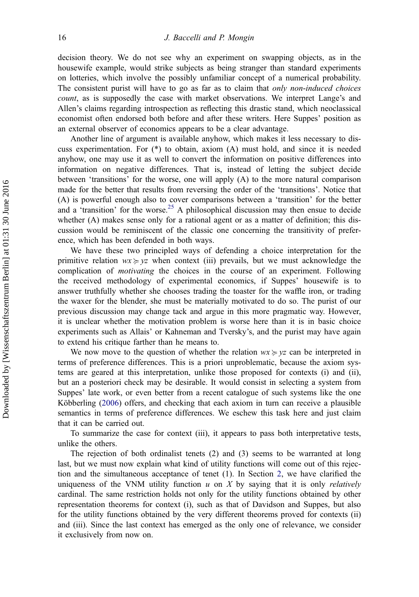decision theory. We do not see why an experiment on swapping objects, as in the housewife example, would strike subjects as being stranger than standard experiments on lotteries, which involve the possibly unfamiliar concept of a numerical probability. The consistent purist will have to go as far as to claim that *only non-induced choices* count, as is supposedly the case with market observations. We interpret Lange's and Allen's claims regarding introspection as reflecting this drastic stand, which neoclassical economist often endorsed both before and after these writers. Here Suppes' position as an external observer of economics appears to be a clear advantage.

Another line of argument is available anyhow, which makes it less necessary to discuss experimentation. For (\*) to obtain, axiom (A) must hold, and since it is needed anyhow, one may use it as well to convert the information on positive differences into information on negative differences. That is, instead of letting the subject decide between 'transitions' for the worse, one will apply (A) to the more natural comparison made for the better that results from reversing the order of the 'transitions'. Notice that (A) is powerful enough also to cover comparisons between a 'transition' for the better and a 'transition' for the worse.<sup>[25](#page-19-0)</sup> A philosophical discussion may then ensue to decide whether (A) makes sense only for a rational agent or as a matter of definition; this discussion would be reminiscent of the classic one concerning the transitivity of preference, which has been defended in both ways.

We have these two principled ways of defending a choice interpretation for the primitive relation  $wx \geq yz$  when context (iii) prevails, but we must acknowledge the complication of motivating the choices in the course of an experiment. Following the received methodology of experimental economics, if Suppes' housewife is to answer truthfully whether she chooses trading the toaster for the waffle iron, or trading the waxer for the blender, she must be materially motivated to do so. The purist of our previous discussion may change tack and argue in this more pragmatic way. However, it is unclear whether the motivation problem is worse here than it is in basic choice experiments such as Allais' or Kahneman and Tversky's, and the purist may have again to extend his critique farther than he means to.

We now move to the question of whether the relation  $wx \geq yz$  can be interpreted in terms of preference differences. This is a priori unproblematic, because the axiom systems are geared at this interpretation, unlike those proposed for contexts (i) and (ii), but an a posteriori check may be desirable. It would consist in selecting a system from Suppes' late work, or even better from a recent catalogue of such systems like the one Köbberling ([2006\)](#page-20-0) offers, and checking that each axiom in turn can receive a plausible semantics in terms of preference differences. We eschew this task here and just claim that it can be carried out.

To summarize the case for context (iii), it appears to pass both interpretative tests, unlike the others.

The rejection of both ordinalist tenets (2) and (3) seems to be warranted at long last, but we must now explain what kind of utility functions will come out of this rejection and the simultaneous acceptance of tenet (1). In Section [2](#page-2-0), we have clarified the uniqueness of the VNM utility function  $u$  on  $X$  by saying that it is only *relatively* cardinal. The same restriction holds not only for the utility functions obtained by other representation theorems for context (i), such as that of Davidson and Suppes, but also for the utility functions obtained by the very different theorems proved for contexts (ii) and (iii). Since the last context has emerged as the only one of relevance, we consider it exclusively from now on.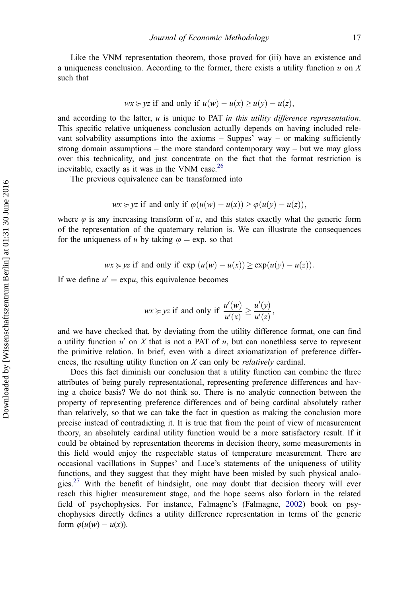<span id="page-17-0"></span>Like the VNM representation theorem, those proved for (iii) have an existence and a uniqueness conclusion. According to the former, there exists a utility function  $u$  on X such that

$$
wx \succcurlyeq yz
$$
 if and only if  $u(w) - u(x) \ge u(y) - u(z)$ ,

and according to the latter,  $u$  is unique to PAT in this utility difference representation. This specific relative uniqueness conclusion actually depends on having included relevant solvability assumptions into the axioms  $-$  Suppes' way  $-$  or making sufficiently strong domain assumptions – the more standard contemporary way – but we may gloss over this technicality, and just concentrate on the fact that the format restriction is inevitable, exactly as it was in the VNM case.[26](#page-19-0)

The previous equivalence can be transformed into

$$
wx \ge yz
$$
 if and only if  $\varphi(u(w) - u(x)) \ge \varphi(u(y) - u(z)),$ 

where  $\varphi$  is any increasing transform of u, and this states exactly what the generic form of the representation of the quaternary relation is. We can illustrate the consequences for the uniqueness of u by taking  $\varphi = \exp$ , so that

 $wx \geq yz$  if and only if  $exp(u(w) - u(x)) \geq exp(u(y) - u(z)).$ 

If we define  $u' = \exp u$ , this equivalence becomes

$$
wx \ge yz
$$
 if and only if  $\frac{u'(w)}{u'(x)} \ge \frac{u'(y)}{u'(z)}$ ,

and we have checked that, by deviating from the utility difference format, one can find a utility function  $u'$  on X that is not a PAT of u, but can nonethless serve to represent the primitive relation. In brief, even with a direct axiomatization of preference differences, the resulting utility function on X can only be *relatively* cardinal.

Does this fact diminish our conclusion that a utility function can combine the three attributes of being purely representational, representing preference differences and having a choice basis? We do not think so. There is no analytic connection between the property of representing preference differences and of being cardinal absolutely rather than relatively, so that we can take the fact in question as making the conclusion more precise instead of contradicting it. It is true that from the point of view of measurement theory, an absolutely cardinal utility function would be a more satisfactory result. If it could be obtained by representation theorems in decision theory, some measurements in this field would enjoy the respectable status of temperature measurement. There are occasional vacillations in Suppes' and Luce's statements of the uniqueness of utility functions, and they suggest that they might have been misled by such physical analo-gies.<sup>[27](#page-19-0)</sup> With the benefit of hindsight, one may doubt that decision theory will ever reach this higher measurement stage, and the hope seems also forlorn in the related field of psychophysics. For instance, Falmagne's (Falmagne, [2002](#page-20-0)) book on psychophysics directly defines a utility difference representation in terms of the generic form  $\varphi(u(w) - u(x))$ .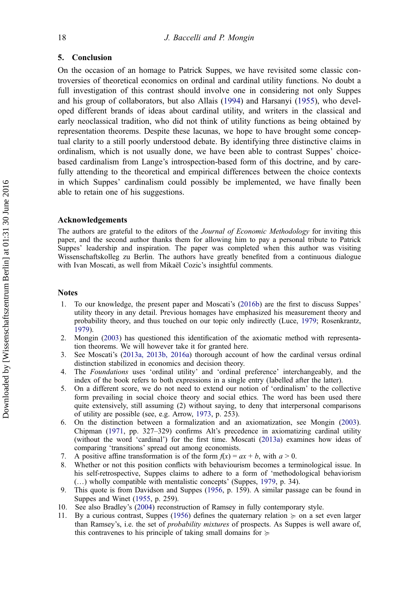### <span id="page-18-0"></span>5. Conclusion

On the occasion of an homage to Patrick Suppes, we have revisited some classic controversies of theoretical economics on ordinal and cardinal utility functions. No doubt a full investigation of this contrast should involve one in considering not only Suppes and his group of collaborators, but also Allais [\(1994](#page-19-0)) and Harsanyi ([1955](#page-20-0)), who developed different brands of ideas about cardinal utility, and writers in the classical and early neoclassical tradition, who did not think of utility functions as being obtained by representation theorems. Despite these lacunas, we hope to have brought some conceptual clarity to a still poorly understood debate. By identifying three distinctive claims in ordinalism, which is not usually done, we have been able to contrast Suppes' choicebased cardinalism from Lange's introspection-based form of this doctrine, and by carefully attending to the theoretical and empirical differences between the choice contexts in which Suppes' cardinalism could possibly be implemented, we have finally been able to retain one of his suggestions.

#### Acknowledgements

The authors are grateful to the editors of the *Journal of Economic Methodology* for inviting this paper, and the second author thanks them for allowing him to pay a personal tribute to Patrick Suppes' leadership and inspiration. The paper was completed when this author was visiting Wissenschaftskolleg zu Berlin. The authors have greatly benefited from a continuous dialogue with Ivan Moscati, as well from Mikaël Cozic's insightful comments.

#### **Notes**

- 1. To our knowledge, the present paper and Moscati's [\(2016b\)](#page-21-0) are the first to discuss Suppes' utility theory in any detail. Previous homages have emphasized his measurement theory and probability theory, and thus touched on our topic only indirectly (Luce, [1979;](#page-20-0) Rosenkrantz, [1979](#page-21-0)).
- 2. Mongin [\(2003](#page-20-0)) has questioned this identification of the axiomatic method with representation theorems. We will however take it for granted here.
- 3. See Moscati's ([2013a, 2013b, 2016a\)](#page-20-0) thorough account of how the cardinal versus ordinal distinction stabilized in economics and decision theory.
- The Foundations uses 'ordinal utility' and 'ordinal preference' interchangeably, and the index of the book refers to both expressions in a single entry (labelled after the latter).
- 5. On a different score, we do not need to extend our notion of 'ordinalism' to the collective form prevailing in social choice theory and social ethics. The word has been used there quite extensively, still assuming (2) without saying, to deny that interpersonal comparisons of utility are possible (see, e.g. Arrow, [1973,](#page-19-0) p. 253).
- 6. On the distinction between a formalization and an axiomatization, see Mongin [\(2003](#page-20-0)). Chipman ([1971](#page-20-0), pp. 327–329) confirms Alt's precedence in axiomatizing cardinal utility (without the word 'cardinal') for the first time. Moscati [\(2013a\)](#page-20-0) examines how ideas of comparing 'transitions' spread out among economists.
- 7. A positive affine transformation is of the form  $f(x) = ax + b$ , with  $a > 0$ .
- Whether or not this position conflicts with behaviourism becomes a terminological issue. In his self-retrospective, Suppes claims to adhere to a form of 'methodological behaviorism (…) wholly compatible with mentalistic concepts' (Suppes, [1979,](#page-21-0) p. 34).
- 9. This quote is from Davidson and Suppes [\(1956,](#page-20-0) p. 159). A similar passage can be found in Suppes and Winet [\(1955](#page-21-0), p. 259).
- 10. See also Bradley's [\(2004](#page-20-0)) reconstruction of Ramsey in fully contemporary style.
- 11. By a curious contrast, Suppes ([1956\)](#page-21-0) defines the quaternary relation  $\succcurlyeq$  on a set even larger than Ramsey's, i.e. the set of *probability mixtures* of prospects. As Suppes is well aware of, this contravenes to his principle of taking small domains for  $\succcurlyeq$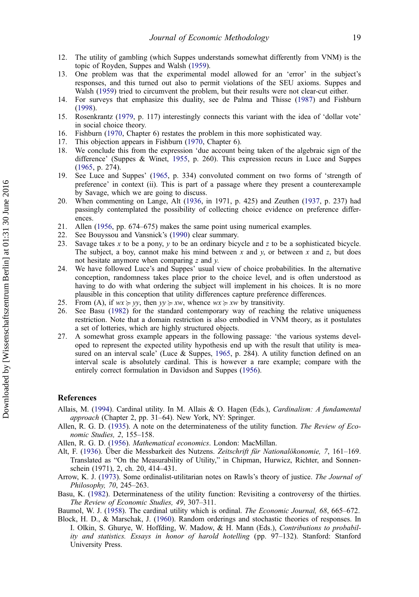- <span id="page-19-0"></span>12. The utility of gambling (which Suppes understands somewhat differently from VNM) is the topic of Royden, Suppes and Walsh [\(1959](#page-21-0)).
- 13. One problem was that the experimental model allowed for an 'error' in the subject's responses, and this turned out also to permit violations of the SEU axioms. Suppes and Walsh [\(1959](#page-21-0)) tried to circumvent the problem, but their results were not clear-cut either.
- 14. For surveys that emphasize this duality, see de Palma and Thisse [\(1987](#page-20-0)) and Fishburn [\(1998](#page-20-0)).
- 15. Rosenkrantz [\(1979,](#page-21-0) p. 117) interestingly connects this variant with the idea of 'dollar vote' in social choice theory.
- 16. Fishburn ([1970,](#page-20-0) Chapter 6) restates the problem in this more sophisticated way.
- 17. This objection appears in Fishburn ([1970,](#page-20-0) Chapter 6).
- 18. We conclude this from the expression 'due account being taken of the algebraic sign of the difference' (Suppes & Winet, [1955,](#page-21-0) p. 260). This expression recurs in Luce and Suppes [\(1965](#page-20-0), p. 274).
- 19. See Luce and Suppes' ([1965,](#page-20-0) p. 334) convoluted comment on two forms of 'strength of preference' in context (ii). This is part of a passage where they present a counterexample by Savage, which we are going to discuss.
- 20. When commenting on Lange, Alt (1936, in 1971, p. 425) and Zeuthen ([1937,](#page-21-0) p. 237) had passingly contemplated the possibility of collecting choice evidence on preference differences.
- 21. Allen (1956, pp. 674–675) makes the same point using numerical examples.
- 22. See Bouyssou and Vansnick's ([1990\)](#page-20-0) clear summary.
- 23. Savage takes x to be a pony, y to be an ordinary bicycle and z to be a sophisticated bicycle. The subject, a boy, cannot make his mind between x and  $y$ , or between x and z, but does not hesitate anymore when comparing  $z$  and  $y$ .
- 24. We have followed Luce's and Suppes' usual view of choice probabilities. In the alternative conception, randomness takes place prior to the choice level, and is often understood as having to do with what ordering the subject will implement in his choices. It is no more plausible in this conception that utility differences capture preference differences.
- 25. From (A), if  $wx \geq y$ , then  $yy \geq xw$ , whence  $wx \geq xw$  by transitivity.
- 26. See Basu (1982) for the standard contemporary way of reaching the relative uniqueness restriction. Note that a domain restriction is also embodied in VNM theory, as it postulates a set of lotteries, which are highly structured objects.
- 27. A somewhat gross example appears in the following passage: 'the various systems developed to represent the expected utility hypothesis end up with the result that utility is mea-sured on an interval scale' (Luce & Suppes, [1965](#page-20-0), p. 284). A utility function defined on an interval scale is absolutely cardinal. This is however a rare example; compare with the entirely correct formulation in Davidson and Suppes [\(1956](#page-20-0)).

#### References

- Allais, M. ([1994\)](#page-18-0). Cardinal utility. In M. Allais & O. Hagen (Eds.), Cardinalism: A fundamental approach (Chapter 2, pp. 31–64). New York, NY: Springer.
- Allen, R. G. D. ([1935](#page-5-0)). A note on the determinateness of the utility function. The Review of Economic Studies, 2, 155–158.
- Allen, R. G. D. [\(1956](#page-5-0)). Mathematical economics. London: MacMillan.
- Alt, F. ([1936\)](#page-4-0). Über die Messbarkeit des Nutzens. Zeitschrift für Nationalökonomie, 7, 161–169. Translated as "On the Measurability of Utility," in Chipman, Hurwicz, Richter, and Sonnenschein (1971), 2, ch. 20, 414–431.
- Arrow, K. J. [\(1973](#page-18-0)). Some ordinalist-utilitarian notes on Rawls's theory of justice. The Journal of Philosophy, 70, 245–263.
- Basu, K. (1982). Determinateness of the utility function: Revisiting a controversy of the thirties. The Review of Economic Studies, 49, 307–311.
- Baumol, W. J. ([1958\)](#page-5-0). The cardinal utility which is ordinal. *The Economic Journal*, 68, 665–672. Block, H. D., & Marschak, J. [\(1960\)](#page-10-0). Random orderings and stochastic theories of responses. In
- I. Olkin, S. Ghurye, W. Hoffding, W. Madow, & H. Mann (Eds.), Contributions to probability and statistics. Essays in honor of harold hotelling (pp. 97–132). Stanford: Stanford University Press.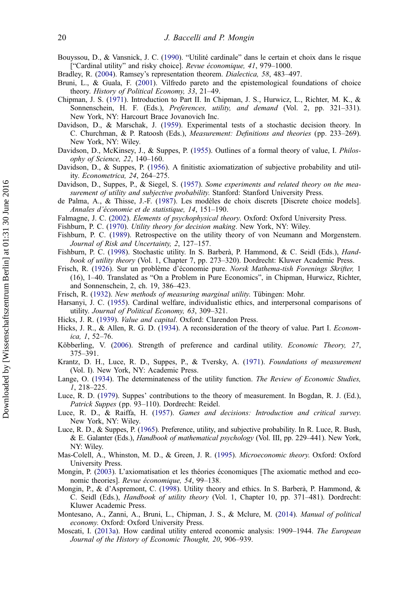- <span id="page-20-0"></span>Bouyssou, D., & Vansnick, J. C. ([1990\)](#page-19-0). "Utilité cardinale" dans le certain et choix dans le risque ["Cardinal utility" and risky choice]. Revue économique, 41, 979-1000.
- Bradley, R. ([2004\)](#page-18-0). Ramsey's representation theorem. Dialectica, 58, 483–497.
- Bruni, L., & Guala, F. [\(2001](#page-4-0)). Vilfredo pareto and the epistemological foundations of choice theory. History of Political Economy, 33, 21–49.
- Chipman, J. S. [\(1971](#page-18-0)). Introduction to Part II. In Chipman, J. S., Hurwicz, L., Richter, M. K., & Sonnenschein, H. F. (Eds.), Preferences, utility, and demand (Vol. 2, pp. 321–331). New York, NY: Harcourt Brace Jovanovich Inc.
- Davidson, D., & Marschak, J. [\(1959](#page-10-0)). Experimental tests of a stochastic decision theory. In C. Churchman, & P. Ratoosh (Eds.), Measurement: Definitions and theories (pp. 233–269). New York, NY: Wiley.
- Davidson, D., McKinsey, J., & Suppes, P. ([1955](#page-11-0)). Outlines of a formal theory of value, I. *Philos*ophy of Science, 22, 140–160.
- Davidson, D., & Suppes, P. ([1956\)](#page-9-0). A finitistic axiomatization of subjective probability and utility. Econometrica, 24, 264–275.
- Davidson, D., Suppes, P., & Siegel, S. ([1957\)](#page-10-0). Some experiments and related theory on the measurement of utility and subjective probability. Stanford: Stanford University Press.
- de Palma, A., & Thisse, J.-F. [\(1987](#page-19-0)). Les modèles de choix discrets [Discrete choice models]. Annales d'économie et de statistique, 14, 151–190.
- Falmagne, J. C. [\(2002\)](#page-17-0). Elements of psychophysical theory. Oxford: Oxford University Press.
- Fishburn, P. C. [\(1970](#page-19-0)). Utility theory for decision making. New York, NY: Wiley.
- Fishburn, P. C. ([1989\)](#page-5-0). Retrospective on the utility theory of von Neumann and Morgenstern. Journal of Risk and Uncertainty, 2, 127–157.
- Fishburn, P. C. ([1998\)](#page-19-0). Stochastic utility. In S. Barberà, P. Hammond, & C. Seidl (Eds.), Handbook of utility theory (Vol. 1, Chapter 7, pp. 273–320). Dordrecht: Kluwer Academic Press.
- Frisch, R. ([1926\)](#page-5-0). Sur un problème d'économie pure. Norsk Mathema-tish Forenings Skrifter, 1 (16), 1–40. Translated as "On a Problem in Pure Economics", in Chipman, Hurwicz, Richter, and Sonnenschein, 2, ch. 19, 386–423.
- Frisch, R. [\(1932](#page-5-0)). New methods of measuring marginal utility. Tübingen: Mohr.
- Harsanyi, J. C. ([1955\)](#page-18-0). Cardinal welfare, individualistic ethics, and interpersonal comparisons of utility. Journal of Political Economy, 63, 309–321.
- Hicks, J. R. ([1939\)](#page-2-0). Value and capital. Oxford: Clarendon Press.
- Hicks, J. R., & Allen, R. G. D. [\(1934](#page-2-0)). A reconsideration of the theory of value. Part I. Economica, 1, 52–76.
- Köbberling, V. ([2006\)](#page-11-0). Strength of preference and cardinal utility. Economic Theory, 27, 375–391.
- Krantz, D. H., Luce, R. D., Suppes, P., & Tversky, A. [\(1971](#page-11-0)). Foundations of measurement (Vol. I). New York, NY: Academic Press.
- Lange, O. [\(1934](#page-4-0)). The determinateness of the utility function. The Review of Economic Studies, 1, 218–225.
- Luce, R. D. ([1979\)](#page-10-0). Suppes' contributions to the theory of measurement. In Bogdan, R. J. (Ed.), Patrick Suppes (pp. 93–110). Dordrecht: Reidel.
- Luce, R. D., & Raiffa, H. [\(1957](#page-6-0)). Games and decisions: Introduction and critical survey. New York, NY: Wiley.
- Luce, R. D., & Suppes, P. [\(1965\)](#page-7-0). Preference, utility, and subjective probability. In R. Luce, R. Bush, & E. Galanter (Eds.), Handbook of mathematical psychology (Vol. III, pp. 229–441). New York, NY: Wiley.
- Mas-Colell, A., Whinston, M. D., & Green, J. R. ([1995\)](#page-1-0). Microeconomic theory. Oxford: Oxford University Press.
- Mongin, P. ([2003\)](#page-18-0). L'axiomatisation et les théories économiques [The axiomatic method and economic theories]. Revue économique, 54, 99–138.
- Mongin, P., & d'Aspremont, C. [\(1998](#page-4-0)). Utility theory and ethics. In S. Barberà, P. Hammond, & C. Seidl (Eds.), Handbook of utility theory (Vol. 1, Chapter 10, pp. 371–481). Dordrecht: Kluwer Academic Press.
- Montesano, A., Zanni, A., Bruni, L., Chipman, J. S., & Mclure, M. (2014). Manual of political economy. Oxford: Oxford University Press.
- Moscati, I. ([2013a](#page-5-0)). How cardinal utility entered economic analysis: 1909–1944. The European Journal of the History of Economic Thought, 20, 906–939.